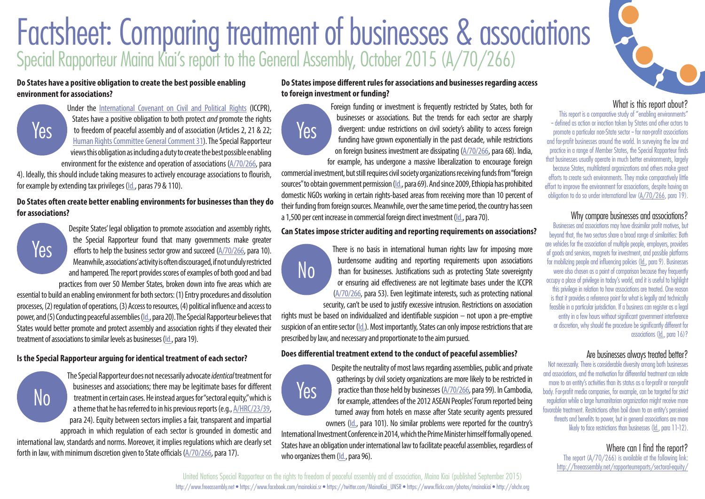# Factsheet: Comparing treatment of businesses & associations Special Rapporteur Maina Kiai's report to the General Assembly, October 2015 [\(A/70/266\)](http://freeassembly.net/rapporteurreports/sectoral-equity/)

Yes

#### **Do States have a positive obligation to create the best possible enabling environment for associations?**



Under the [International Covenant on Civil and Political Rights](http://www.ohchr.org/en/professionalinterest/pages/ccpr.aspx) (ICCPR), States have a positive obligation to both protect *and* promote the rights to freedom of peaceful assembly and of association (Articles 2, 21 & 22; [Human Rights Committee General Comment 31\)](https://www1.umn.edu/humanrts/gencomm/hrcom31.html). The Special Rapporteur views this obligation as including a duty to create the best possible enabling environment for the existence and operation of associations [\(A/70/266](http://freeassembly.net/rapporteurreports/sectoral-equity/), para

4). Ideally, this should include taking measures to actively encourage associations to flourish, for example by extending tax privileges ([Id.,](http://freeassembly.net/rapporteurreports/sectoral-equity/) paras 79 & 110).

## **Do States often create better enabling environments for businesses than they do for associations?**



No

Despite States' legal obligation to promote association and assembly rights, the Special Rapporteur found that many governments make greater efforts to help the business sector grow and succeed [\(A/70/266](http://freeassembly.net/rapporteurreports/sectoral-equity/), para 10). Meanwhile, associations' activity is often discouraged, if not unduly restricted and hampered. The report provides scores of examples of both good and bad practices from over 50 Member States, broken down into five areas which are

essential to build an enabling environment for both sectors: (1) Entry procedures and dissolution processes, (2) regulation of operations, (3) Access to resources, (4) political influence and access to power, and (5) Conducting peaceful assemblies ([Id.,](http://freeassembly.net/rapporteurreports/sectoral-equity/) para 20). The Special Rapporteur believes that States would better promote and protect assembly and association rights if they elevated their treatment of associations to similar levels as businesses [\(Id.,](http://freeassembly.net/rapporteurreports/sectoral-equity/) para 19).

# **Is the Special Rapporteur arguing for identical treatment of each sector?**

The Special Rapporteur does not necessarily advocate *identical* treatment for businesses and associations; there may be legitimate bases for different treatment in certain cases. He instead argues for "sectoral equity," which is a theme that he has referred to in his previous reports (e.g., [A/HRC/23/39](http://freeassembly.net/rapporteurreports/funding-report/), para 24). Equity between sectors implies a fair, transparent and impartial approach in which regulation of each sector is grounded in domestic and

international law, standards and norms. Moreover, it implies regulations which are clearly set forth in law, with minimum discretion given to State officials [\(A/70/266](http://freeassembly.net/rapporteurreports/sectoral-equity/), para 17).

# **Do States impose different rules for associations and businesses regarding access to foreign investment or funding?**

Foreign funding or investment is frequently restricted by States, both for businesses or associations. But the trends for each sector are sharply divergent: undue restrictions on civil society's ability to access foreign funding have grown exponentially in the past decade, while restrictions on foreign business investment are dissipating [\(A/70/266](http://freeassembly.net/rapporteurreports/sectoral-equity/), para 68). India,

for example, has undergone a massive liberalization to encourage foreign commercial investment, but still requires civil society organizations receiving funds from "foreign sources" to obtain government permission [\(Id.,](http://freeassembly.net/rapporteurreports/sectoral-equity/) para 69). And since 2009, Ethiopia has prohibited domestic NGOs working in certain rights-based areas from receiving more than 10 percent of their funding from foreign sources. Meanwhile, over the same time period, the country has seen a 1,500 per cent increase in commercial foreign direct investment ([Id.](http://freeassembly.net/rapporteurreports/sectoral-equity/), para 70).

#### **Can States impose stricter auditing and reporting requirements on associations?**

There is no basis in international human rights law for imposing more burdensome auditing and reporting requirements upon associations than for businesses. Justifications such as protecting State sovereignty or ensuring aid effectiveness are not legitimate bases under the ICCPR [\(A/70/266,](http://freeassembly.net/rapporteurreports/sectoral-equity/) para 53). Even legitimate interests, such as protecting national security, can't be used to justify excessive intrusion. Restrictions on association

rights must be based on individualized and identifiable suspicion – not upon a pre-emptive suspicion of an entire sector [\(Id.\)](http://freeassembly.net/rapporteurreports/sectoral-equity/). Most importantly, States can only impose restrictions that are prescribed by law, and necessary and proportionate to the aim pursued.

# **Does differential treatment extend to the conduct of peaceful assemblies?**

Despite the neutrality of most laws regarding assemblies, public and private gatherings by civil society organizations are more likely to be restricted in practice than those held by businesses [\(A/70/266,](http://freeassembly.net/rapporteurreports/sectoral-equity/) para 99). In Cambodia, for example, attendees of the 2012 ASEAN Peoples' Forum reported being turned away from hotels en masse after State security agents pressured owners ([Id.](http://freeassembly.net/rapporteurreports/sectoral-equity/), para 101). No similar problems were reported for the country's

International Investment Conference in 2014, which the Prime Minister himself formally opened. States have an obligation under international law to facilitate peaceful assemblies, regardless of who organizes them ([Id.,](http://freeassembly.net/rapporteurreports/sectoral-equity/) para 96).



# What is this report about?

This report is a comparative study of "enabling environments" -- defined as action or inaction taken by States and other actors to promote a particular non-State sector -- for non-profit associations and for-profit businesses around the world. In surveying the law and practice in a range of Member States, the Special Rapporteur finds that businesses usually operate in much better environments, largely because States, multilateral organizations and others make great efforts to create such environments. They make comparatively little effort to improve the environment for associations, despite having an obligation to do so under international law [\(A/70/266,](http://freeassembly.net/rapporteurreports/sectoral-equity/) para 19).

# Why compare businesses and associations?

Businesses and associations may have dissimilar profit motives, but beyond that, the two sectors share a broad range of similarities: Both are vehicles for the association of multiple people, employers, providers of goods and services, magnets for investment, and possible platforms for mobilizing people and influencing policies ([Id.](http://freeassembly.net/rapporteurreports/sectoral-equity/), para 9). Businesses were also chosen as a point of comparison because they frequently occupy a place of privilege in today's world, and it is useful to highlight this privilege in relation to how associations are treated. One reason is that it provides a reference point for what is legally and technically feasible in a particular jurisdiction. If a business can register as a legal entity in a few hours without significant government interference or discretion, why should the procedure be significantly different for associations ([Id.](http://freeassembly.net/rapporteurreports/sectoral-equity/), para 16)?

# Are businesses always treated better?

Not necessarily. There is considerable diversity among both businesses and associations, and the motivation for differential treatment can relate more to an entity's activities than its status as a for-profit or non-profit body. For-profit media companies, for example, can be targeted for strict regulation while a large humanitarian organization might receive more favorable treatment. Restrictions often boil down to an entity's perceived threats and benefits to power, but in general associations are more likely to face restrictions than businesses ([Id.](http://freeassembly.net/rapporteurreports/sectoral-equity/), para 11-12).

# Where can I find the report?

The report (A/70/266) is available at the following link: <http://freeassembly.net/rapporteurreports/sectoral-equity/>

<http://www.freeassembly.net> • <https://www.facebook.com/mainakiai.sr> • [https://twitter.com/MainaKiai\\_UNSR](https://twitter.com/MainaKiai_UNSR) • [https://www.flickr.com/photos/mainakiai](https://www.flickr.com/photos/mainakiai/) • [http://ohchr.org](http://ohchr.orghttp://www.ohchr.org/EN/Issues/AssemblyAssociation/Pages/SRFreedomAssemblyAssociationIndex.aspx) United Nations Special Rapporteur on the rights to freedom of peaceful assembly and of association, Maina Kiai (published September 2015)



No